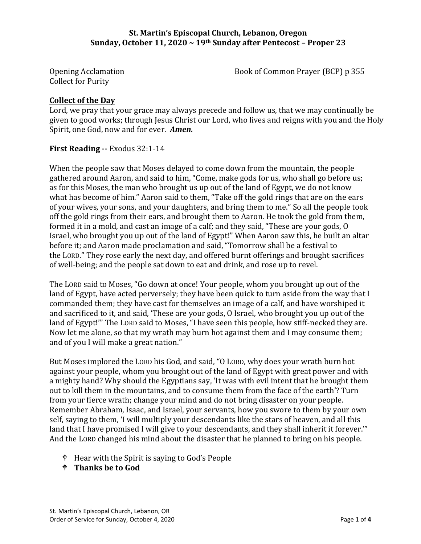## **St. Martin's Episcopal Church, Lebanon, Oregon Sunday, October 11, 2020 ~ 19th Sunday after Pentecost – Proper 23**

Collect for Purity

Opening Acclamation Book of Common Prayer (BCP) p 355

## **Collect of the Day**

Lord, we pray that your grace may always precede and follow us, that we may continually be given to good works; through Jesus Christ our Lord, who lives and reigns with you and the Holy Spirit, one God, now and for ever. *Amen.*

## **First Reading --** Exodus 32:1-14

When the people saw that Moses delayed to come down from the mountain, the people gathered around Aaron, and said to him, "Come, make gods for us, who shall go before us; as for this Moses, the man who brought us up out of the land of Egypt, we do not know what has become of him." Aaron said to them, "Take off the gold rings that are on the ears of your wives, your sons, and your daughters, and bring them to me." So all the people took off the gold rings from their ears, and brought them to Aaron. He took the gold from them, formed it in a mold, and cast an image of a calf; and they said, "These are your gods, O Israel, who brought you up out of the land of Egypt!" When Aaron saw this, he built an altar before it; and Aaron made proclamation and said, "Tomorrow shall be a festival to the LORD." They rose early the next day, and offered burnt offerings and brought sacrifices of well-being; and the people sat down to eat and drink, and rose up to revel.

The LORD said to Moses, "Go down at once! Your people, whom you brought up out of the land of Egypt, have acted perversely; they have been quick to turn aside from the way that I commanded them; they have cast for themselves an image of a calf, and have worshiped it and sacrificed to it, and said, 'These are your gods, O Israel, who brought you up out of the land of Egypt!'" The LORD said to Moses, "I have seen this people, how stiff-necked they are. Now let me alone, so that my wrath may burn hot against them and I may consume them; and of you I will make a great nation."

But Moses implored the LORD his God, and said, "O LORD, why does your wrath burn hot against your people, whom you brought out of the land of Egypt with great power and with a mighty hand? Why should the Egyptians say, 'It was with evil intent that he brought them out to kill them in the mountains, and to consume them from the face of the earth'? Turn from your fierce wrath; change your mind and do not bring disaster on your people. Remember Abraham, Isaac, and Israel, your servants, how you swore to them by your own self, saying to them, 'I will multiply your descendants like the stars of heaven, and all this land that I have promised I will give to your descendants, and they shall inherit it forever." And the LORD changed his mind about the disaster that he planned to bring on his people.

- Hear with the Spirit is saying to God's People
- **Thanks be to God**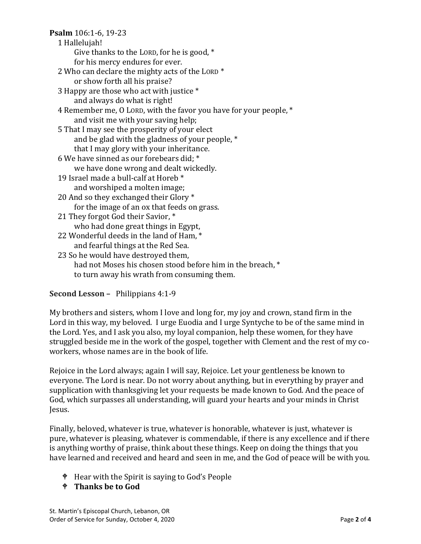**Psalm** 106:1-6, 19-23 1 Hallelujah! Give thanks to the LORD, for he is good, \* for his mercy endures for ever. 2 Who can declare the mighty acts of the LORD \* or show forth all his praise? 3 Happy are those who act with justice \* and always do what is right! 4 Remember me, O LORD, with the favor you have for your people, \* and visit me with your saving help; 5 That I may see the prosperity of your elect and be glad with the gladness of your people, \* that I may glory with your inheritance. 6 We have sinned as our forebears did; \* we have done wrong and dealt wickedly. 19 Israel made a bull-calf at Horeb \* and worshiped a molten image; 20 And so they exchanged their Glory \* for the image of an ox that feeds on grass. 21 They forgot God their Savior, \* who had done great things in Egypt, 22 Wonderful deeds in the land of Ham, \* and fearful things at the Red Sea. 23 So he would have destroyed them, had not Moses his chosen stood before him in the breach,  $*$ to turn away his wrath from consuming them.

# **Second Lesson –** Philippians 4:1-9

My brothers and sisters, whom I love and long for, my joy and crown, stand firm in the Lord in this way, my beloved. I urge Euodia and I urge Syntyche to be of the same mind in the Lord. Yes, and I ask you also, my loyal companion, help these women, for they have struggled beside me in the work of the gospel, together with Clement and the rest of my coworkers, whose names are in the book of life.

Rejoice in the Lord always; again I will say, Rejoice. Let your gentleness be known to everyone. The Lord is near. Do not worry about anything, but in everything by prayer and supplication with thanksgiving let your requests be made known to God. And the peace of God, which surpasses all understanding, will guard your hearts and your minds in Christ Jesus.

Finally, beloved, whatever is true, whatever is honorable, whatever is just, whatever is pure, whatever is pleasing, whatever is commendable, if there is any excellence and if there is anything worthy of praise, think about these things. Keep on doing the things that you have learned and received and heard and seen in me, and the God of peace will be with you.

- Hear with the Spirit is saying to God's People
- **Thanks be to God**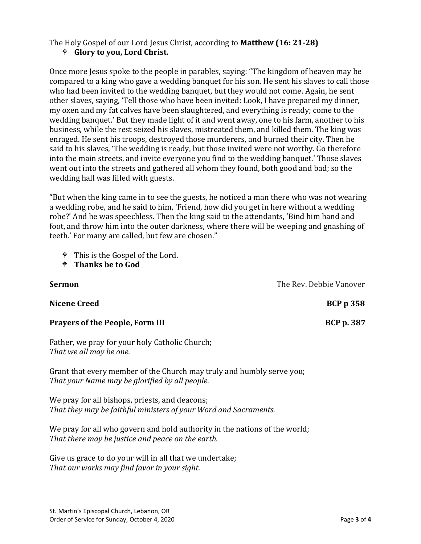**Glory to you, Lord Christ.** Once more Jesus spoke to the people in parables, saying: "The kingdom of heaven may be compared to a king who gave a wedding banquet for his son. He sent his slaves to call those who had been invited to the wedding banquet, but they would not come. Again, he sent

The Holy Gospel of our Lord Jesus Christ, according to **Matthew (16: 21-28)**

other slaves, saying, 'Tell those who have been invited: Look, I have prepared my dinner, my oxen and my fat calves have been slaughtered, and everything is ready; come to the wedding banquet.' But they made light of it and went away, one to his farm, another to his business, while the rest seized his slaves, mistreated them, and killed them. The king was enraged. He sent his troops, destroyed those murderers, and burned their city. Then he said to his slaves, 'The wedding is ready, but those invited were not worthy. Go therefore into the main streets, and invite everyone you find to the wedding banquet.' Those slaves went out into the streets and gathered all whom they found, both good and bad; so the wedding hall was filled with guests.

"But when the king came in to see the guests, he noticed a man there who was not wearing a wedding robe, and he said to him, 'Friend, how did you get in here without a wedding robe?' And he was speechless. Then the king said to the attendants, 'Bind him hand and foot, and throw him into the outer darkness, where there will be weeping and gnashing of teeth.' For many are called, but few are chosen."

This is the Gospel of the Lord.

**Thanks be to God** 

**Nicene Creed BCP p 358 Prayers of the People, Form III BCP p. 387** Father, we pray for your holy Catholic Church; *That we all may be one.*

Grant that every member of the Church may truly and humbly serve you; *That your Name may be glorified by all people.*

We pray for all bishops, priests, and deacons; *That they may be faithful ministers of your Word and Sacraments.*

We pray for all who govern and hold authority in the nations of the world; *That there may be justice and peace on the earth.*

Give us grace to do your will in all that we undertake; *That our works may find favor in your sight.*

**Sermon** The Rev. Debbie Vanover